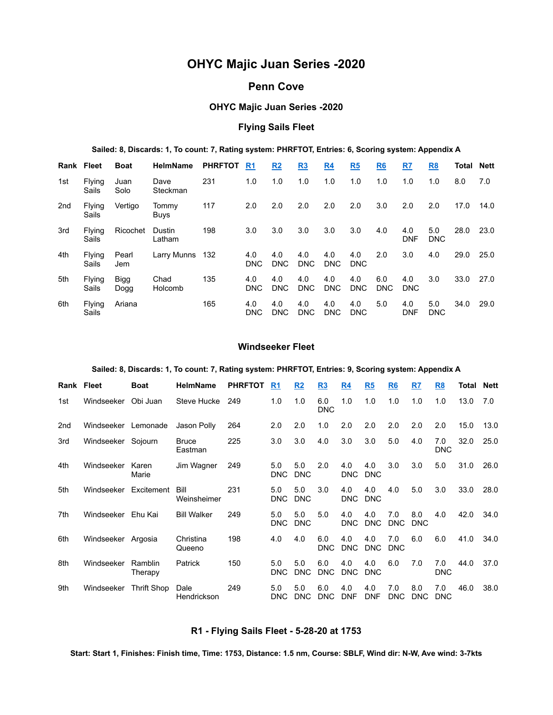# OHYC Majic Juan Series -2020

# Penn Cove

# OHYC Majic Juan Series -2020

# Flying Sails Fleet

#### Sailed: 8, Discards: 1, To count: 7, Rating system: PHRFTOT, Entries: 6, Scoring system: Appendix A

| Rank Fleet      |                 | <b>Boat</b>         | <b>HelmName</b>  | <b>PHRFTOT</b> | R <sub>1</sub>    | R2                | <u>R3</u>         | <u>R4</u>         | R <sub>5</sub>    | R <sub>6</sub>    | R7                | <u>R8</u>         | Total | <b>Nett</b> |
|-----------------|-----------------|---------------------|------------------|----------------|-------------------|-------------------|-------------------|-------------------|-------------------|-------------------|-------------------|-------------------|-------|-------------|
| 1st             | Flying<br>Sails | Juan<br>Solo        | Dave<br>Steckman | 231            | 1.0               | 1.0               | 1.0               | 1.0               | 1.0               | 1.0               | 1.0               | 1.0               | 8.0   | 7.0         |
| 2 <sub>nd</sub> | Flying<br>Sails | Vertigo             | Tommy<br>Buys    | 117            | 2.0               | 2.0               | 2.0               | 2.0               | 2.0               | 3.0               | 2.0               | 2.0               | 17.0  | 14.0        |
| 3rd             | Flying<br>Sails | Ricochet            | Dustin<br>Latham | 198            | 3.0               | 3.0               | 3.0               | 3.0               | 3.0               | 4.0               | 4.0<br><b>DNF</b> | 5.0<br><b>DNC</b> | 28.0  | 23.0        |
| 4th             | Flying<br>Sails | Pearl<br>Jem        | Larry Munns      | 132            | 4.0<br><b>DNC</b> | 4.0<br><b>DNC</b> | 4.0<br><b>DNC</b> | 4.0<br><b>DNC</b> | 4.0<br><b>DNC</b> | 2.0               | 3.0               | 4.0               | 29.0  | 25.0        |
| 5th             | Flying<br>Sails | <b>Bigg</b><br>Dogg | Chad<br>Holcomb  | 135            | 4.0<br><b>DNC</b> | 4.0<br><b>DNC</b> | 4.0<br><b>DNC</b> | 4.0<br><b>DNC</b> | 4.0<br><b>DNC</b> | 6.0<br><b>DNC</b> | 4.0<br><b>DNC</b> | 3.0               | 33.0  | 27.0        |
| 6th             | Flying<br>Sails | Ariana              |                  | 165            | 4.0<br><b>DNC</b> | 4.0<br><b>DNC</b> | 4.0<br><b>DNC</b> | 4.0<br><b>DNC</b> | 4.0<br><b>DNC</b> | 5.0               | 4.0<br><b>DNF</b> | 5.0<br><b>DNC</b> | 34.0  | 29.0        |

#### Windseeker Fleet

#### Sailed: 8, Discards: 1, To count: 7, Rating system: PHRFTOT, Entries: 9, Scoring system: Appendix A

| Rank Fleet      |                    | <b>Boat</b>        | <b>HelmName</b>         | <b>PHRFTOT</b> | R <sub>1</sub>    | R <sub>2</sub>    | R <sub>3</sub>    | R4                | R <sub>5</sub>    | R <sub>6</sub>    | R7                | R <sub>8</sub>    | Total | <b>Nett</b> |
|-----------------|--------------------|--------------------|-------------------------|----------------|-------------------|-------------------|-------------------|-------------------|-------------------|-------------------|-------------------|-------------------|-------|-------------|
| 1st             | Windseeker         | Obi Juan           | Steve Hucke             | 249            | 1.0               | 1.0               | 6.0<br><b>DNC</b> | 1.0               | 1.0               | 1.0               | 1.0               | 1.0               | 13.0  | 7.0         |
| 2 <sub>nd</sub> | Windseeker         | Lemonade           | Jason Polly             | 264            | 2.0               | 2.0               | 1.0               | 2.0               | 2.0               | 2.0               | 2.0               | 2.0               | 15.0  | 13.0        |
| 3rd             | Windseeker Sojourn |                    | <b>Bruce</b><br>Eastman | 225            | 3.0               | 3.0               | 4.0               | 3.0               | 3.0               | 5.0               | 4.0               | 7.0<br>DNC        | 32.0  | 25.0        |
| 4th             | Windseeker         | Karen<br>Marie     | Jim Wagner              | 249            | 5.0<br><b>DNC</b> | 5.0<br><b>DNC</b> | 2.0               | 4.0<br><b>DNC</b> | 4.0<br><b>DNC</b> | 3.0               | 3.0               | 5.0               | 31.0  | 26.0        |
| 5th             | Windseeker         | Excitement         | Bill<br>Weinsheimer     | 231            | 5.0<br><b>DNC</b> | 5.0<br><b>DNC</b> | 3.0               | 4.0<br><b>DNC</b> | 4.0<br><b>DNC</b> | 4.0               | 5.0               | 3.0               | 33.0  | 28.0        |
| 7th             | Windseeker         | Ehu Kai            | <b>Bill Walker</b>      | 249            | 5.0<br><b>DNC</b> | 5.0<br><b>DNC</b> | 5.0               | 4.0<br><b>DNC</b> | 4.0<br><b>DNC</b> | 7.0<br><b>DNC</b> | 8.0<br><b>DNC</b> | 4.0               | 42.0  | 34.0        |
| 6th             | Windseeker Argosia |                    | Christina<br>Queeno     | 198            | 4.0               | 4.0               | 6.0<br><b>DNC</b> | 4.0<br><b>DNC</b> | 4.0<br><b>DNC</b> | 7.0<br><b>DNC</b> | 6.0               | 6.0               | 41.0  | 34.0        |
| 8th             | Windseeker         | Ramblin<br>Therapy | Patrick                 | 150            | 5.0<br><b>DNC</b> | 5.0<br><b>DNC</b> | 6.0<br><b>DNC</b> | 4.0<br><b>DNC</b> | 4.0<br><b>DNC</b> | 6.0               | 7.0               | 7.0<br>DNC        | 44.0  | 37.0        |
| 9th             | Windseeker         | <b>Thrift Shop</b> | Dale<br>Hendrickson     | 249            | 5.0<br>DNC        | 5.0<br>DNC        | 6.0<br><b>DNC</b> | 4.0<br><b>DNF</b> | 4.0<br><b>DNF</b> | 7.0<br><b>DNC</b> | 8.0<br><b>DNC</b> | 7.0<br><b>DNC</b> | 46.0  | 38.0        |

### R1 - Flying Sails Fleet - 5-28-20 at 1753

Start: Start 1, Finishes: Finish time, Time: 1753, Distance: 1.5 nm, Course: SBLF, Wind dir: N-W, Ave wind: 3-7kts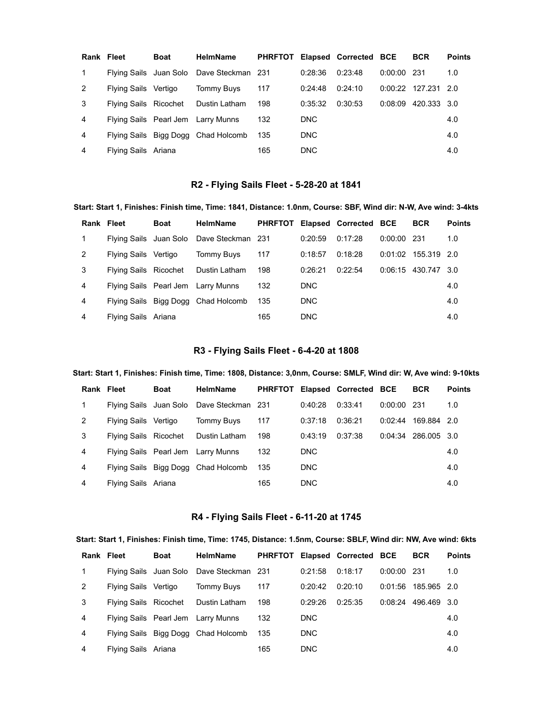| Rank Fleet   |                        | <b>Boat</b> | <b>HelmName</b>                     | <b>PHRFTOT</b> |            | Elapsed Corrected BCE |               | <b>BCR</b>          | <b>Points</b> |
|--------------|------------------------|-------------|-------------------------------------|----------------|------------|-----------------------|---------------|---------------------|---------------|
| $\mathbf{1}$ | Flying Sails Juan Solo |             | Dave Steckman 231                   |                | 0:28:36    | 0:23:48               | $0:00:00$ 231 |                     | 1.0           |
| 2            | Flying Sails Vertigo   |             | Tommy Buys                          | 117            | 0:24:48    | 0:24:10               |               | 0:00:22 127.231 2.0 |               |
| 3            | Flying Sails Ricochet  |             | Dustin Latham                       | 198            | 0:35:32    | 0:30:53               | 0:08:09       | 420.333 3.0         |               |
| 4            |                        |             | Flying Sails Pearl Jem Larry Munns  | 132            | <b>DNC</b> |                       |               |                     | 4.0           |
| 4            |                        |             | Flying Sails Bigg Dogg Chad Holcomb | 135            | <b>DNC</b> |                       |               |                     | 4.0           |
| 4            | Flying Sails Ariana    |             |                                     | 165            | <b>DNC</b> |                       |               |                     | 4.0           |

# R2 - Flying Sails Fleet - 5-28-20 at 1841

| Start: Start 1, Finishes: Finish time, Time: 1841, Distance: 1.0nm, Course: SBF, Wind dir: N-W, Ave wind: 3-4kts |                              |             |                   |                |            |                       |               |                       |               |  |  |  |  |
|------------------------------------------------------------------------------------------------------------------|------------------------------|-------------|-------------------|----------------|------------|-----------------------|---------------|-----------------------|---------------|--|--|--|--|
| Rank Fleet                                                                                                       |                              | <b>Boat</b> | <b>HelmName</b>   | <b>PHRFTOT</b> |            | Elapsed Corrected BCE |               | <b>BCR</b>            | <b>Points</b> |  |  |  |  |
| 1                                                                                                                | Flying Sails Juan Solo       |             | Dave Steckman 231 |                | 0:20:59    | 0:17:28               | $0:00:00$ 231 |                       | 1.0           |  |  |  |  |
| 2                                                                                                                | Flying Sails                 | Vertigo     | <b>Tommy Buys</b> | 117            | 0:18:57    | 0:18:28               |               | $0:01:02$ 155.319 2.0 |               |  |  |  |  |
| 3                                                                                                                | <b>Flying Sails Ricochet</b> |             | Dustin Latham     | 198            | 0:26:21    | 0:22:54               |               | 0:06:15 430.747 3.0   |               |  |  |  |  |
| 4                                                                                                                | Flying Sails Pearl Jem       |             | Larry Munns       | 132            | <b>DNC</b> |                       |               |                       | 4.0           |  |  |  |  |
| 4                                                                                                                | Flying Sails Bigg Dogg       |             | Chad Holcomb      | 135            | DNC        |                       |               |                       | 4.0           |  |  |  |  |
| 4                                                                                                                | Flying Sails Ariana          |             |                   | 165            | <b>DNC</b> |                       |               |                       | 4.0           |  |  |  |  |

# R3 - Flying Sails Fleet - 6-4-20 at 1808

### Start: Start 1, Finishes: Finish time, Time: 1808, Distance: 3,0nm, Course: SMLF, Wind dir: W, Ave wind: 9-10kts

| Rank Fleet   |                       | <b>Boat</b> | <b>HelmName</b>                          |     |            | PHRFTOT Elapsed Corrected BCE |               | <b>BCR</b>            | <b>Points</b> |
|--------------|-----------------------|-------------|------------------------------------------|-----|------------|-------------------------------|---------------|-----------------------|---------------|
| $\mathbf{1}$ |                       |             | Flying Sails Juan Solo Dave Steckman 231 |     | 0:40:28    | 0:33:41                       | $0:00:00$ 231 |                       | 1.0           |
| 2            | Flying Sails Vertigo  |             | Tommy Buys                               | 117 | 0:37:18    | 0:36:21                       |               | $0:02:44$ 169.884 2.0 |               |
| 3            | Flying Sails Ricochet |             | Dustin Latham                            | 198 | 0:43:19    | 0:37:38                       |               | $0:04:34$ 286.005 3.0 |               |
| 4            |                       |             | Flying Sails Pearl Jem Larry Munns       | 132 | DNC        |                               |               |                       | 4.0           |
| 4            |                       |             | Flying Sails Bigg Dogg Chad Holcomb      | 135 | DNC        |                               |               |                       | 4.0           |
| 4            | Flying Sails Ariana   |             |                                          | 165 | <b>DNC</b> |                               |               |                       | 4.0           |

# R4 - Flying Sails Fleet - 6-11-20 at 1745

#### Start: Start 1, Finishes: Finish time, Time: 1745, Distance: 1.5nm, Course: SBLF, Wind dir: NW, Ave wind: 6kts

| Rank Fleet   |                        | <b>Boat</b> | <b>HelmName</b>                     |     |            | PHRFTOT Elapsed Corrected BCE |               | <b>BCR</b>          | <b>Points</b> |
|--------------|------------------------|-------------|-------------------------------------|-----|------------|-------------------------------|---------------|---------------------|---------------|
| $\mathbf{1}$ | Flying Sails Juan Solo |             | Dave Steckman 231                   |     | 0:21:58    | 0:18:17                       | $0:00:00$ 231 |                     | 1.0           |
| 2            | Flying Sails Vertigo   |             | Tommy Buys                          | 117 | 0:20:42    | 0:20:10                       | 0:01:56       | 185.965 2.0         |               |
| 3            | Flying Sails Ricochet  |             | Dustin Latham                       | 198 | 0:29:26    | 0:25:35                       |               | 0:08:24 496.469 3.0 |               |
| 4            |                        |             | Flying Sails Pearl Jem Larry Munns  | 132 | <b>DNC</b> |                               |               |                     | 4.0           |
| 4            |                        |             | Flying Sails Bigg Dogg Chad Holcomb | 135 | <b>DNC</b> |                               |               |                     | 4.0           |
| 4            | Flying Sails Ariana    |             |                                     | 165 | <b>DNC</b> |                               |               |                     | 4.0           |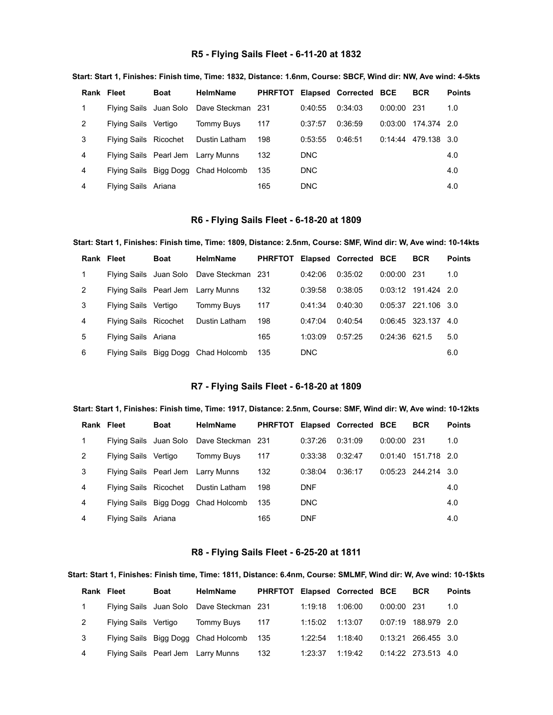# R5 - Flying Sails Fleet - 6-11-20 at 1832

|   | Rank Fleet            | <b>Boat</b> | <b>HelmName</b>                          | <b>PHRFTOT</b> |            | Elapsed Corrected BCE |               | <b>BCR</b>  | <b>Points</b> |
|---|-----------------------|-------------|------------------------------------------|----------------|------------|-----------------------|---------------|-------------|---------------|
|   |                       |             | Flying Sails Juan Solo Dave Steckman 231 |                | 0:40:55    | 0:34:03               | $0:00:00$ 231 |             | 1.0           |
| 2 | Flying Sails Vertigo  |             | <b>Tommy Buys</b>                        | 117            | 0:37:57    | 0:36:59               | 0:03:00       | 174.374 2.0 |               |
| 3 | Flying Sails Ricochet |             | Dustin Latham                            | 198            | 0:53:55    | 0:46:51               | 0:14:44       | 479.138 3.0 |               |
| 4 |                       |             | Flying Sails Pearl Jem Larry Munns       | 132            | DNC.       |                       |               |             | 4.0           |
| 4 |                       |             | Flying Sails Bigg Dogg Chad Holcomb      | 135            | DNC.       |                       |               |             | 4.0           |
| 4 | Flying Sails Ariana   |             |                                          | 165            | <b>DNC</b> |                       |               |             | 4.0           |

#### Start: Start 1, Finishes: Finish time, Time: 1832, Distance: 1.6nm, Course: SBCF, Wind dir: NW, Ave wind: 4-5kts

### R6 - Flying Sails Fleet - 6-18-20 at 1809

#### Start: Start 1, Finishes: Finish time, Time: 1809, Distance: 2.5nm, Course: SMF, Wind dir: W, Ave wind: 10-14kts

| Rank Fleet  |                       | <b>Boat</b> | <b>HelmName</b>                          | <b>PHRFTOT</b> |            | Elapsed Corrected BCE |                 | <b>BCR</b>            | <b>Points</b> |
|-------------|-----------------------|-------------|------------------------------------------|----------------|------------|-----------------------|-----------------|-----------------------|---------------|
| $\mathbf 1$ |                       |             | Flying Sails Juan Solo Dave Steckman 231 |                | 0:42:06    | 0:35:02               | $0:00:00$ 231   |                       | 1.0           |
| 2           |                       |             | Flying Sails Pearl Jem Larry Munns       | 132            | 0:39:58    | 0:38:05               |                 | $0:03:12$ 191.424 2.0 |               |
| 3           | Flying Sails          | Vertigo     | Tommy Buys                               | 117            | 0:41:34    | 0:40:30               |                 | $0:05:37$ 221.106 3.0 |               |
| 4           | Flying Sails Ricochet |             | Dustin Latham                            | 198            | 0:47:04    | 0.40.54               |                 | 0:06:45 323.137       | 4.O           |
| 5           | Flying Sails Ariana   |             |                                          | 165            | 1:03:09    | 0:57:25               | $0:24:36$ 621.5 |                       | 5.0           |
| 6           |                       |             | Flying Sails Bigg Dogg Chad Holcomb      | 135            | <b>DNC</b> |                       |                 |                       | 6.0           |

# R7 - Flying Sails Fleet - 6-18-20 at 1809

#### Start: Start 1, Finishes: Finish time, Time: 1917, Distance: 2.5nm, Course: SMF, Wind dir: W, Ave wind: 10-12kts

| Rank Fleet   |                       | <b>Boat</b> | <b>HelmName</b>                          |       |            | PHRFTOT Elapsed Corrected BCE |               | <b>BCR</b>            | <b>Points</b> |
|--------------|-----------------------|-------------|------------------------------------------|-------|------------|-------------------------------|---------------|-----------------------|---------------|
| $\mathbf{1}$ |                       |             | Flying Sails Juan Solo Dave Steckman 231 |       | 0:37:26    | 0:31:09                       | $0:00:00$ 231 |                       | 1.0           |
| 2            | Flying Sails Vertigo  |             | Tommy Buys                               | 117   | 0:33:38    | 0:32:47                       |               | $0:01:40$ 151.718 2.0 |               |
| 3            |                       |             | Flying Sails Pearl Jem Larry Munns       | 132   | 0:38:04    | 0:36:17                       |               | $0:05:23$ 244.214 3.0 |               |
| 4            | Flying Sails Ricochet |             | Dustin Latham                            | 198   | <b>DNF</b> |                               |               |                       | 4.0           |
| 4            |                       |             | Flying Sails Bigg Dogg Chad Holcomb      | - 135 | DNC        |                               |               |                       | 4.0           |
| 4            | Flying Sails Ariana   |             |                                          | 165   | <b>DNF</b> |                               |               |                       | 4.0           |

#### R8 - Flying Sails Fleet - 6-25-20 at 1811

#### Start: Start 1, Finishes: Finish time, Time: 1811, Distance: 6.4nm, Course: SMLMF, Wind dir: W, Ave wind: 10-1\$kts

|   | Rank Fleet           | Boat | <b>HelmName</b>                          |     |         | PHRFTOT Elapsed Corrected BCE |               | <b>BCR</b>            | <b>Points</b> |
|---|----------------------|------|------------------------------------------|-----|---------|-------------------------------|---------------|-----------------------|---------------|
|   |                      |      | Flying Sails Juan Solo Dave Steckman 231 |     | 1:19:18 | 1:06:00                       | $0:00:00$ 231 |                       | 1.0           |
| 2 | Flying Sails Vertigo |      | Tommy Buys                               | 117 | 1:15:02 | 1:13:07                       | 0:07:19       | 188.979 2.0           |               |
| 3 |                      |      | Flying Sails Bigg Dogg Chad Holcomb 135  |     | 1:22:54 | 1:18:40                       |               | 0:13:21 266.455 3.0   |               |
| 4 |                      |      | Flying Sails Pearl Jem Larry Munns       | 132 | 1:23:37 | 1:19:42                       |               | $0:14:22$ 273.513 4.0 |               |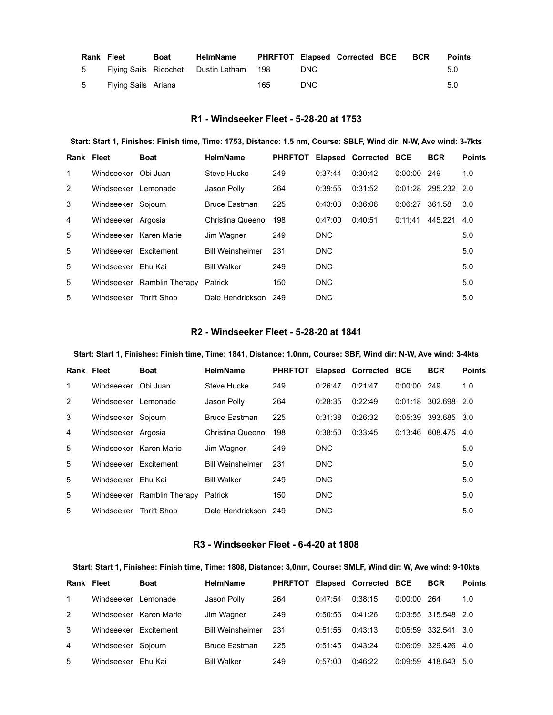| <b>Rank Fleet</b> |                     | Boat | HelmName                                | PHRFTOT Elapsed Corrected BCE BCR |      |  | <b>Points</b> |
|-------------------|---------------------|------|-----------------------------------------|-----------------------------------|------|--|---------------|
| 5 -               |                     |      | Flying Sails Ricochet Dustin Latham 198 |                                   | DNC. |  | 5.0           |
| 5                 | Flying Sails Ariana |      |                                         | 165                               | DNC. |  | 5.0           |

# R1 - Windseeker Fleet - 5-28-20 at 1753

#### Start: Start 1, Finishes: Finish time, Time: 1753, Distance: 1.5 nm, Course: SBLF, Wind dir: N-W, Ave wind: 3-7kts

| Rank Fleet |                        | <b>Boat</b>                | <b>HelmName</b>         | <b>PHRFTOT</b> |            | Elapsed Corrected BCE |         | <b>BCR</b>      | <b>Points</b> |
|------------|------------------------|----------------------------|-------------------------|----------------|------------|-----------------------|---------|-----------------|---------------|
| 1          | Windseeker             | Obi Juan                   | Steve Hucke             | 249            | 0:37:44    | 0:30:42               | 0:00:00 | 249             | 1.0           |
| 2          | Windseeker Lemonade    |                            | Jason Polly             | 264            | 0:39:55    | 0:31:52               |         | 0:01:28 295.232 | -2.0          |
| 3          | Windseeker             | Sojourn                    | <b>Bruce Eastman</b>    | 225            | 0:43:03    | 0:36:06               | 0:06:27 | 361.58          | 3.0           |
| 4          | Windseeker Argosia     |                            | Christina Queeno        | 198            | 0:47:00    | 0:40:51               | 0:11:41 | 445.221         | 4.0           |
| 5          | Windseeker Karen Marie |                            | Jim Wagner              | 249            | <b>DNC</b> |                       |         |                 | 5.0           |
| 5          | Windseeker Fxcitement  |                            | <b>Bill Weinsheimer</b> | 231            | <b>DNC</b> |                       |         |                 | 5.0           |
| 5          | Windseeker Ehu Kai     |                            | <b>Bill Walker</b>      | 249            | <b>DNC</b> |                       |         |                 | 5.0           |
| 5          |                        | Windseeker Ramblin Therapy | Patrick                 | 150            | <b>DNC</b> |                       |         |                 | 5.0           |
| 5          | Windseeker             | <b>Thrift Shop</b>         | Dale Hendrickson        | 249            | <b>DNC</b> |                       |         |                 | 5.0           |

#### R2 - Windseeker Fleet - 5-28-20 at 1841

#### Start: Start 1, Finishes: Finish time, Time: 1841, Distance: 1.0nm, Course: SBF, Wind dir: N-W, Ave wind: 3-4kts

| Rank Fleet |                       | <b>Boat</b>            | <b>HelmName</b>         | <b>PHRFTOT</b> |            | <b>Elapsed Corrected BCE</b> |         | <b>BCR</b>          | <b>Points</b> |
|------------|-----------------------|------------------------|-------------------------|----------------|------------|------------------------------|---------|---------------------|---------------|
| 1          | Windseeker            | Obi Juan               | Steve Hucke             | 249            | 0:26:47    | 0:21:47                      | 0:00:00 | 249                 | 1.0           |
| 2          | Windseeker Lemonade   |                        | Jason Polly             | 264            | 0:28:35    | 0:22:49                      |         | $0:01:18$ 302.698   | 2.0           |
| 3          | Windseeker            | Soiourn                | <b>Bruce Eastman</b>    | 225            | 0:31:38    | 0:26:32                      |         | 0:05:39 393.685 3.0 |               |
| 4          | Windseeker Argosia    |                        | Christina Queeno        | 198            | 0:38:50    | 0:33:45                      |         | $0:13:46$ 608.475   | 4.0           |
| 5          |                       | Windseeker Karen Marie | Jim Wagner              | 249            | <b>DNC</b> |                              |         |                     | 5.0           |
| 5          | Windseeker Excitement |                        | <b>Bill Weinsheimer</b> | 231            | <b>DNC</b> |                              |         |                     | 5.0           |
| 5          | Windseeker            | Ehu Kai                | <b>Bill Walker</b>      | 249            | <b>DNC</b> |                              |         |                     | 5.0           |
| 5          | Windseeker            | <b>Ramblin Therapy</b> | Patrick                 | 150            | <b>DNC</b> |                              |         |                     | 5.0           |
| 5          | Windseeker            | Thrift Shop            | Dale Hendrickson        | 249            | <b>DNC</b> |                              |         |                     | 5.0           |

#### R3 - Windseeker Fleet - 6-4-20 at 1808

#### Start: Start 1, Finishes: Finish time, Time: 1808, Distance: 3,0nm, Course: SMLF, Wind dir: W, Ave wind: 9-10kts

| Rank Fleet   |                    | <b>Boat</b>            | <b>HelmName</b>         | <b>PHRFTOT</b> |         | Elapsed Corrected BCE |         | <b>BCR</b>          | <b>Points</b> |
|--------------|--------------------|------------------------|-------------------------|----------------|---------|-----------------------|---------|---------------------|---------------|
| $\mathbf{1}$ | Windseeker         | Lemonade               | Jason Polly             | 264            | 0:47:54 | 0:38:15               | 0:00:00 | -264                | 1.0           |
| 2            |                    | Windseeker Karen Marie | Jim Wagner              | 249            | 0:50:56 | 0:41:26               |         | 0:03:55 315.548 2.0 |               |
| 3            | Windseeker         | Excitement             | <b>Bill Weinsheimer</b> | 231            | 0:51:56 | 0:43:13               |         | 0:05:59 332.541 3.0 |               |
| 4            | Windseeker Sojourn |                        | <b>Bruce Eastman</b>    | 225            | 0:51:45 | 0:43:24               | 0:06:09 | 329.426 4.0         |               |
| 5            | Windseeker         | Ehu Kai                | <b>Bill Walker</b>      | 249            | 0:57:00 | 0.46.22               | 0:09:59 | 418.643             | -5.0          |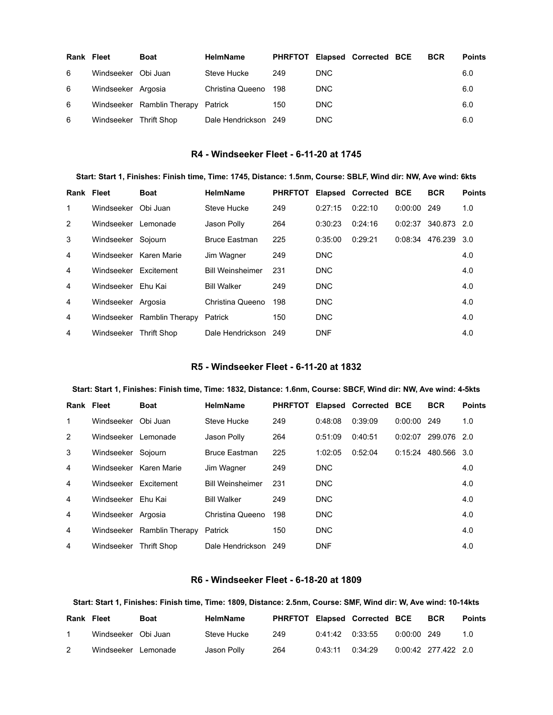| <b>Rank Fleet</b> |                        | <b>Boat</b>                        | <b>HelmName</b>      |     |      | PHRFTOT Elapsed Corrected BCE | <b>BCR</b> | <b>Points</b> |
|-------------------|------------------------|------------------------------------|----------------------|-----|------|-------------------------------|------------|---------------|
| 6                 | Windseeker Obi Juan    |                                    | Steve Hucke          | 249 | DNC. |                               |            | 6.0           |
| 6                 | Windseeker Argosia     |                                    | Christina Queeno     | 198 | DNC. |                               |            | 6.0           |
| 6                 |                        | Windseeker Ramblin Therapy Patrick |                      | 150 | DNC. |                               |            | 6.0           |
| 6                 | Windseeker Thrift Shop |                                    | Dale Hendrickson 249 |     | DNC. |                               |            | 6.0           |

### R4 - Windseeker Fleet - 6-11-20 at 1745

Start: Start 1, Finishes: Finish time, Time: 1745, Distance: 1.5nm, Course: SBLF, Wind dir: NW, Ave wind: 6kts

| Rank Fleet     |                        | <b>Boat</b>                | <b>HelmName</b>         | <b>PHRFTOT</b> |            | <b>Elapsed Corrected BCE</b> |         | <b>BCR</b>          | <b>Points</b> |
|----------------|------------------------|----------------------------|-------------------------|----------------|------------|------------------------------|---------|---------------------|---------------|
| 1              | Windseeker             | Obi Juan                   | Steve Hucke             | 249            | 0:27:15    | 0:22:10                      | 0:00:00 | 249                 | 1.0           |
| 2              | Windseeker Lemonade    |                            | Jason Polly             | 264            | 0:30:23    | 0:24:16                      |         | 0:02:37 340.873 2.0 |               |
| 3              | Windseeker Sojourn     |                            | <b>Bruce Eastman</b>    | 225            | 0:35:00    | 0:29:21                      |         | 0:08:34 476.239     | 3.0           |
| 4              |                        | Windseeker Karen Marie     | Jim Wagner              | 249            | <b>DNC</b> |                              |         |                     | 4.0           |
| 4              | Windseeker Excitement  |                            | <b>Bill Weinsheimer</b> | 231            | DNC        |                              |         |                     | 4.0           |
| 4              | Windseeker Ehu Kai     |                            | <b>Bill Walker</b>      | 249            | DNC        |                              |         |                     | 4.0           |
| 4              | Windseeker Argosia     |                            | Christina Queeno        | 198            | DNC        |                              |         |                     | 4.0           |
| $\overline{4}$ |                        | Windseeker Ramblin Therapy | Patrick                 | 150            | <b>DNC</b> |                              |         |                     | 4.0           |
| 4              | Windseeker Thrift Shop |                            | Dale Hendrickson 249    |                | <b>DNF</b> |                              |         |                     | 4.0           |

# R5 - Windseeker Fleet - 6-11-20 at 1832

#### Start: Start 1, Finishes: Finish time, Time: 1832, Distance: 1.6nm, Course: SBCF, Wind dir: NW, Ave wind: 4-5kts

| Rank Fleet     |                       | <b>Boat</b>                | <b>HelmName</b>         | <b>PHRFTOT</b> |            | Elapsed Corrected BCE |         | <b>BCR</b>            | <b>Points</b> |
|----------------|-----------------------|----------------------------|-------------------------|----------------|------------|-----------------------|---------|-----------------------|---------------|
| 1              | Windseeker            | Obi Juan                   | Steve Hucke             | 249            | 0:48:08    | 0:39:09               | 0:00:00 | 249                   | 1.0           |
| 2              | Windseeker Lemonade   |                            | Jason Polly             | 264            | 0:51:09    | 0:40:51               | 0:02:07 | 299.076               | 2.0           |
| 3              | Windseeker Sojourn    |                            | <b>Bruce Eastman</b>    | 225            | 1:02:05    | 0:52:04               |         | $0:15:24$ 480.566 3.0 |               |
| 4              |                       | Windseeker Karen Marie     | Jim Wagner              | 249            | <b>DNC</b> |                       |         |                       | 4.0           |
| $\overline{4}$ | Windseeker Excitement |                            | <b>Bill Weinsheimer</b> | 231            | <b>DNC</b> |                       |         |                       | 4.0           |
| $\overline{4}$ | Windseeker Ehu Kai    |                            | <b>Bill Walker</b>      | 249            | DNC        |                       |         |                       | 4.0           |
| $\overline{4}$ | Windseeker Argosia    |                            | Christina Queeno        | 198            | DNC        |                       |         |                       | 4.0           |
| 4              |                       | Windseeker Ramblin Therapy | Patrick                 | 150            | <b>DNC</b> |                       |         |                       | 4.0           |
| 4              | Windseeker            | <b>Thrift Shop</b>         | Dale Hendrickson        | 249            | <b>DNF</b> |                       |         |                       | 4.0           |

#### R6 - Windseeker Fleet - 6-18-20 at 1809

#### Start: Start 1, Finishes: Finish time, Time: 1809, Distance: 2.5nm, Course: SMF, Wind dir: W, Ave wind: 10-14kts

| <b>Rank Fleet</b> |                     | Boat | <b>HelmName</b> |     |                     | PHRFTOT Elapsed Corrected BCE |               | <b>BCR</b>          | <b>Points</b> |
|-------------------|---------------------|------|-----------------|-----|---------------------|-------------------------------|---------------|---------------------|---------------|
|                   | Windseeker Obi Juan |      | Steve Hucke     | 249 | $0:41:42$ $0:33:55$ |                               | $0:00:00$ 249 |                     | 1.0           |
|                   | Windseeker Lemonade |      | Jason Polly     | 264 | 0:43:11             | 0:34:29                       |               | 0:00:42 277.422 2.0 |               |